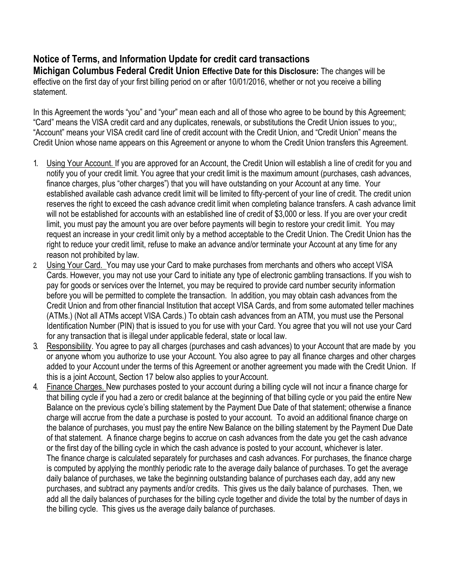# **Notice of Terms, and Information Update for credit card transactions**

**Michigan Columbus Federal Credit Union Effective Date for this Disclosure:** The changes will be effective on the first day of your first billing period on or after 10/01/2016, whether or not you receive a billing statement.

In this Agreement the words "you" and "your" mean each and all of those who agree to be bound by this Agreement; "Card" means the VISA credit card and any duplicates, renewals, or substitutions the Credit Union issues to you;, "Account" means your VISA credit card line of credit account with the Credit Union, and "Credit Union" means the Credit Union whose name appears on this Agreement or anyone to whom the Credit Union transfers this Agreement.

- 1. Using Your Account. If you are approved for an Account, the Credit Union will establish a line of credit for you and notify you of your credit limit. You agree that your credit limit is the maximum amount (purchases, cash advances, finance charges, plus "other charges") that you will have outstanding on your Account at any time. Your established available cash advance credit limit will be limited to fifty-percent of your line of credit. The credit union reserves the right to exceed the cash advance credit limit when completing balance transfers. A cash advance limit will not be established for accounts with an established line of credit of \$3,000 or less. If you are over your credit limit, you must pay the amount you are over before payments will begin to restore your credit limit. You may request an increase in your credit limit only by a method acceptable to the Credit Union. The Credit Union has the right to reduce your credit limit, refuse to make an advance and/or terminate your Account at any time for any reason not prohibited by law.
- 2. Using Your Card. You may use your Card to make purchases from merchants and others who accept VISA Cards. However, you may not use your Card to initiate any type of electronic gambling transactions. If you wish to pay for goods or services over the Internet, you may be required to provide card number security information before you will be permitted to complete the transaction. In addition, you may obtain cash advances from the Credit Union and from other financial Institution that accept VISA Cards, and from some automated teller machines (ATMs.) (Not all ATMs accept VISA Cards.) To obtain cash advances from an ATM, you must use the Personal Identification Number (PIN) that is issued to you for use with your Card. You agree that you will not use your Card for any transaction that is illegal under applicable federal, state or local law.
- 3. Responsibility. You agree to pay all charges (purchases and cash advances) to your Account that are made by you or anyone whom you authorize to use your Account. You also agree to pay all finance charges and other charges added to your Account under the terms of this Agreement or another agreement you made with the Credit Union. If this is a joint Account, Section 17 below also applies to your Account.
- 4. Finance Charges. New purchases posted to your account during a billing cycle will not incur a finance charge for that billing cycle if you had a zero or credit balance at the beginning of that billing cycle or you paid the entire New Balance on the previous cycle's billing statement by the Payment Due Date of that statement; otherwise a finance charge will accrue from the date a purchase is posted to your account. To avoid an additional finance charge on the balance of purchases, you must pay the entire New Balance on the billing statement by the Payment Due Date of that statement. A finance charge begins to accrue on cash advances from the date you get the cash advance or the first day of the billing cycle in which the cash advance is posted to your account, whichever is later. The finance charge is calculated separately for purchases and cash advances. For purchases, the finance charge is computed by applying the monthly periodic rate to the average daily balance of purchases. To get the average daily balance of purchases, we take the beginning outstanding balance of purchases each day, add any new purchases, and subtract any payments and/or credits. This gives us the daily balance of purchases. Then, we add all the daily balances of purchases for the billing cycle together and divide the total by the number of days in the billing cycle. This gives us the average daily balance of purchases.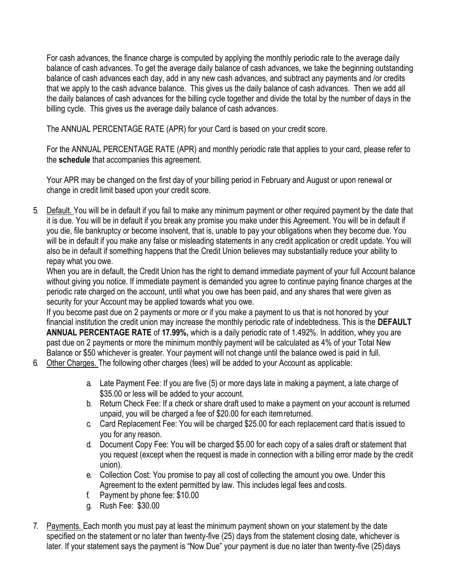For cash advances, the finance charge is computed by applying the monthly periodic rate to the average daily balance of cash advances. To get the average daily balance of cash advances, we take the beginning outstanding balance of cash advances each day, add in any new cash advances, and subtract any payments and /or credits that we apply to the cash advance balance. This gives us the daily balance of cash advances. Then we add all the daily balances of cash advances for the billing cycle together and divide the total by the number of days in the billing cycle. This gives us the average daily balance of cash advances.

The ANNUAL PERCENTAGE RATE (APR) for your Card is based on your credit score.

For the ANNUAL PERCENTAGE RATE (APR) and monthly periodic rate that applies to your card, please refer to the **schedule** that accompanies this agreement.

Your APR may be changed on the first day of your billing period in February and August or upon renewal or change in credit limit based upon your credit score.

5. Default. You will be in default if you fail to make any minimum payment or other required payment by the date that it is due. You will be in default if you break any promise you make under this Agreement. You will be in default if you die, file bankruptcy or become insolvent, that is, unable to pay your obligations when they become due. You will be in default if you make any false or misleading statements in any credit application or credit update. You will also be in default if something happens that the Credit Union believes may substantially reduce your ability to repay what you owe.

When you are in default, the Credit Union has the right to demand immediate payment of your full Account balance without giving you notice. If immediate payment is demanded you agree to continue paying finance charges at the periodic rate charged on the account, until what you owe has been paid, and any shares that were given as security for your Account may be applied towards what you owe.

If you become past due on 2 payments or more or if you make a payment to us that is not honored by your financial institution the credit union may increase the monthly periodic rate of indebtedness. This is the **DEFAULT ANNUAL PERCENTAGE RATE** of **17.99%,** which is a daily periodic rate of 1.492%. In addition, whey you are past due on 2 payments or more the minimum monthly payment will be calculated as 4% of your Total New Balance or \$50 whichever is greater. Your payment will not change until the balance owed is paid in full.

- 6. Other Charges. The following other charges (fees) will be added to your Account as applicable:
	- a. Late Payment Fee: If you are five (5) or more days late in making a payment, a late charge of \$35.00 or less will be added to your account.
	- b. Return Check Fee: If a check or share draft used to make a payment on your account is returned unpaid, you will be charged a fee of \$20.00 for each itemreturned.
	- c. Card Replacement Fee: You will be charged \$25.00 for each replacement card thatis issued to you for any reason.
	- d. Document Copy Fee: You will be charged \$5.00 for each copy of a sales draft or statement that you request (except when the request is made in connection with a billing error made by the credit union).
	- e. Collection Cost: You promise to pay all cost of collecting the amount you owe. Under this Agreement to the extent permitted by law. This includes legal fees and costs.
	- f. Payment by phone fee: \$10.00
	- g. Rush Fee: \$30.00
- 7. Payments. Each month you must pay at least the minimum payment shown on your statement by the date specified on the statement or no later than twenty-five (25) days from the statement closing date, whichever is later. If your statement says the payment is "Now Due" your payment is due no later than twenty-five (25) days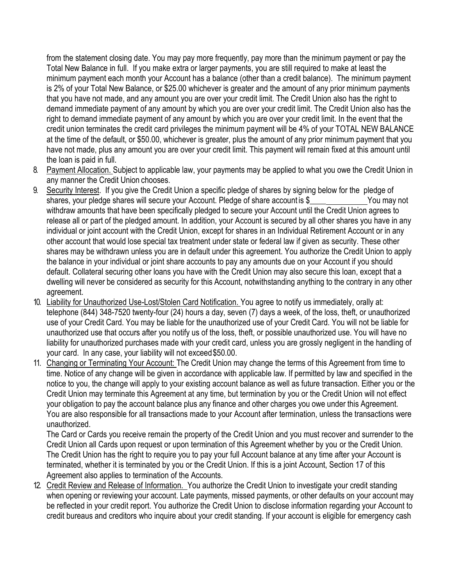from the statement closing date. You may pay more frequently, pay more than the minimum payment or pay the Total New Balance in full. If you make extra or larger payments, you are still required to make at least the minimum payment each month your Account has a balance (other than a credit balance). The minimum payment is 2% of your Total New Balance, or \$25.00 whichever is greater and the amount of any prior minimum payments that you have not made, and any amount you are over your credit limit. The Credit Union also has the right to demand immediate payment of any amount by which you are over your credit limit. The Credit Union also has the right to demand immediate payment of any amount by which you are over your credit limit. In the event that the credit union terminates the credit card privileges the minimum payment will be 4% of your TOTAL NEW BALANCE at the time of the default, or \$50.00, whichever is greater, plus the amount of any prior minimum payment that you have not made, plus any amount you are over your credit limit. This payment will remain fixed at this amount until the loan is paid in full.

- 8. Payment Allocation. Subject to applicable law, your payments may be applied to what you owe the Credit Union in any manner the Credit Union chooses.
- 9. Security Interest. If you give the Credit Union a specific pledge of shares by signing below for the pledge of shares, your pledge shares will secure your Account. Pledge of share account is \$ You may not withdraw amounts that have been specifically pledged to secure your Account until the Credit Union agrees to release all or part of the pledged amount. In addition, your Account is secured by all other shares you have in any individual or joint account with the Credit Union, except for shares in an Individual Retirement Account or in any other account that would lose special tax treatment under state or federal law if given as security. These other shares may be withdrawn unless you are in default under this agreement. You authorize the Credit Union to apply the balance in your individual or joint share accounts to pay any amounts due on your Account if you should default. Collateral securing other loans you have with the Credit Union may also secure this loan, except that a dwelling will never be considered as security for this Account, notwithstanding anything to the contrary in any other agreement.
- 10. Liability for Unauthorized Use-Lost/Stolen Card Notification. You agree to notify us immediately, orally at: telephone (844) 348-7520 twenty-four (24) hours a day, seven (7) days a week, of the loss, theft, or unauthorized use of your Credit Card. You may be liable for the unauthorized use of your Credit Card. You will not be liable for unauthorized use that occurs after you notify us of the loss, theft, or possible unauthorized use. You will have no liability for unauthorized purchases made with your credit card, unless you are grossly negligent in the handling of your card. In any case, your liability will not exceed\$50.00.
- 11. Changing or Terminating Your Account: The Credit Union may change the terms of this Agreement from time to time. Notice of any change will be given in accordance with applicable law. If permitted by law and specified in the notice to you, the change will apply to your existing account balance as well as future transaction. Either you or the Credit Union may terminate this Agreement at any time, but termination by you or the Credit Union will not effect your obligation to pay the account balance plus any finance and other charges you owe under this Agreement. You are also responsible for all transactions made to your Account after termination, unless the transactions were unauthorized.

The Card or Cards you receive remain the property of the Credit Union and you must recover and surrender to the Credit Union all Cards upon request or upon termination of this Agreement whether by you or the Credit Union. The Credit Union has the right to require you to pay your full Account balance at any time after your Account is terminated, whether it is terminated by you or the Credit Union. If this is a joint Account, Section 17 of this Agreement also applies to termination of the Accounts.

12. Credit Review and Release of Information. You authorize the Credit Union to investigate your credit standing when opening or reviewing your account. Late payments, missed payments, or other defaults on your account may be reflected in your credit report. You authorize the Credit Union to disclose information regarding your Account to credit bureaus and creditors who inquire about your credit standing. If your account is eligible for emergency cash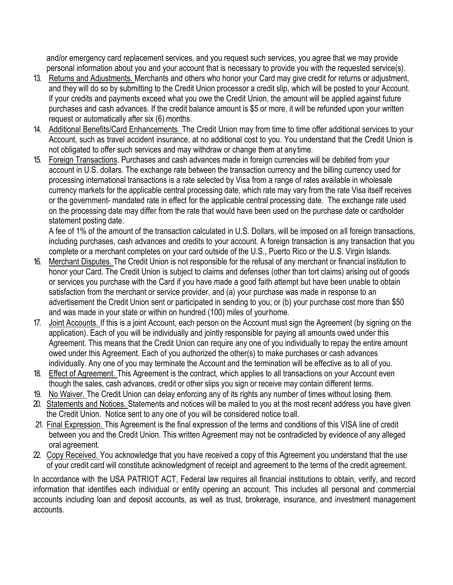and/or emergency card replacement services, and you request such services, you agree that we may provide personal information about you and your account that is necessary to provide you with the requested service(s).

- 13. Returns and Adjustments. Merchants and others who honor your Card may give credit for returns or adjustment, and they will do so by submitting to the Credit Union processor a credit slip, which will be posted to your Account. If your credits and payments exceed what you owe the Credit Union, the amount will be applied against future purchases and cash advances. If the credit balance amount is \$5 or more, it will be refunded upon your written request or automatically after six (6) months.
- 14. Additional Benefits/Card Enhancements. The Credit Union may from time to time offer additional services to your Account, such as travel accident insurance, at no additional cost to you. You understand that the Credit Union is not obligated to offer such services and may withdraw or change them at anytime.
- 15. Foreign Transactions. Purchases and cash advances made in foreign currencies will be debited from your account in U.S. dollars. The exchange rate between the transaction currency and the billing currency used for processing international transactions is a rate selected by Visa from a range of rates available in wholesale currency markets for the applicable central processing date, which rate may vary from the rate Visa itself receives or the government- mandated rate in effect for the applicable central processing date. The exchange rate used on the processing date may differ from the rate that would have been used on the purchase date or cardholder statement posting date.

A fee of 1% of the amount of the transaction calculated in U.S. Dollars, will be imposed on all foreign transactions, including purchases, cash advances and credits to your account. A foreign transaction is any transaction that you complete or a merchant completes on your card outside of the U.S., Puerto Rico or the U.S. Virgin Islands.

- 16. Merchant Disputes. The Credit Union is not responsible for the refusal of any merchant or financial institution to honor your Card. The Credit Union is subject to claims and defenses (other than tort claims) arising out of goods or services you purchase with the Card if you have made a good faith attempt but have been unable to obtain satisfaction from the merchant or service provider, and (a) your purchase was made in response to an advertisement the Credit Union sent or participated in sending to you; or (b) your purchase cost more than \$50 and was made in your state or within on hundred (100) miles of yourhome.
- 17. Joint Accounts. If this is a joint Account, each person on the Account must sign the Agreement (by signing on the application). Each of you will be individually and jointly responsible for paying all amounts owed under this Agreement. This means that the Credit Union can require any one of you individually to repay the entire amount owed under this Agreement. Each of you authorized the other(s) to make purchases or cash advances individually. Any one of you may terminate the Account and the termination will be effective as to all of you.
- 18. Effect of Agreement. This Agreement is the contract, which applies to all transactions on your Account even though the sales, cash advances, credit or other slips you sign or receive may contain different terms.
- 19. No Waiver. The Credit Union can delay enforcing any of its rights any number of times without losing them.
- 20. Statements and Notices. Statements and notices will be mailed to you at the most recent address you have given the Credit Union. Notice sent to any one of you will be considered notice toall.
- 21. Final Expression. This Agreement is the final expression of the terms and conditions of this VISA line of credit between you and the Credit Union. This written Agreement may not be contradicted by evidence of any alleged oral agreement.
- 22. Copy Received. You acknowledge that you have received a copy of this Agreement you understand that the use of your credit card will constitute acknowledgment of receipt and agreement to the terms of the credit agreement.

In accordance with the USA PATRIOT ACT, Federal law requires all financial institutions to obtain, verify, and record information that identifies each individual or entity opening an account. This includes all personal and commercial accounts including loan and deposit accounts, as well as trust, brokerage, insurance, and investment management accounts.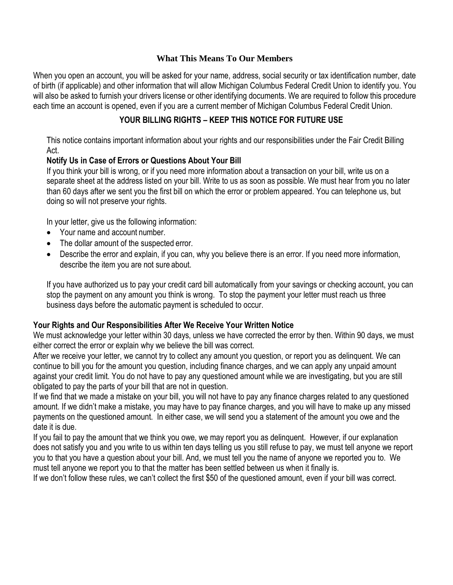### **What This Means To Our Members**

When you open an account, you will be asked for your name, address, social security or tax identification number, date of birth (if applicable) and other information that will allow Michigan Columbus Federal Credit Union to identify you. You will also be asked to furnish your drivers license or other identifying documents. We are required to follow this procedure each time an account is opened, even if you are a current member of Michigan Columbus Federal Credit Union.

### **YOUR BILLING RIGHTS – KEEP THIS NOTICE FOR FUTURE USE**

This notice contains important information about your rights and our responsibilities under the Fair Credit Billing Act.

### **Notify Us in Case of Errors or Questions About Your Bill**

If you think your bill is wrong, or if you need more information about a transaction on your bill, write us on a separate sheet at the address listed on your bill. Write to us as soon as possible. We must hear from you no later than 60 days after we sent you the first bill on which the error or problem appeared. You can telephone us, but doing so will not preserve your rights.

In your letter, give us the following information:

- Your name and account number.
- The dollar amount of the suspected error.
- Describe the error and explain, if you can, why you believe there is an error. If you need more information, describe the item you are not sure about.

If you have authorized us to pay your credit card bill automatically from your savings or checking account, you can stop the payment on any amount you think is wrong. To stop the payment your letter must reach us three business days before the automatic payment is scheduled to occur.

#### **Your Rights and Our Responsibilities After We Receive Your Written Notice**

We must acknowledge your letter within 30 days, unless we have corrected the error by then. Within 90 days, we must either correct the error or explain why we believe the bill was correct.

After we receive your letter, we cannot try to collect any amount you question, or report you as delinquent. We can continue to bill you for the amount you question, including finance charges, and we can apply any unpaid amount against your credit limit. You do not have to pay any questioned amount while we are investigating, but you are still obligated to pay the parts of your bill that are not in question.

If we find that we made a mistake on your bill, you will not have to pay any finance charges related to any questioned amount. If we didn't make a mistake, you may have to pay finance charges, and you will have to make up any missed payments on the questioned amount. In either case, we will send you a statement of the amount you owe and the date it is due.

If you fail to pay the amount that we think you owe, we may report you as delinquent. However, if our explanation does not satisfy you and you write to us within ten days telling us you still refuse to pay, we must tell anyone we report you to that you have a question about your bill. And, we must tell you the name of anyone we reported you to. We must tell anyone we report you to that the matter has been settled between us when it finally is.

If we don't follow these rules, we can't collect the first \$50 of the questioned amount, even if your bill was correct.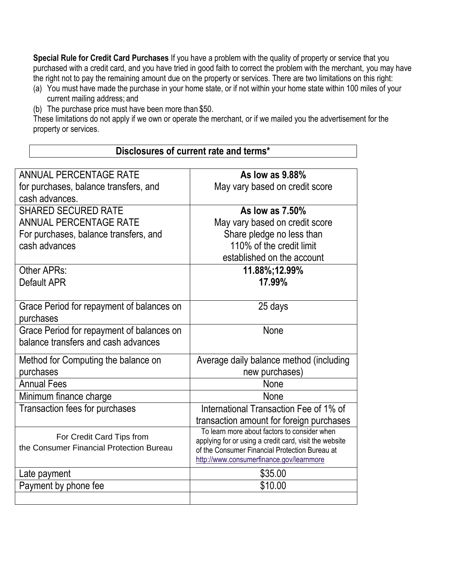**Special Rule for Credit Card Purchases** If you have a problem with the quality of property or service that you purchased with a credit card, and you have tried in good faith to correct the problem with the merchant, you may have the right not to pay the remaining amount due on the property or services. There are two limitations on this right:

- (a) You must have made the purchase in your home state, or if not within your home state within 100 miles of your current mailing address; and
- (b) The purchase price must have been more than \$50.

These limitations do not apply if we own or operate the merchant, or if we mailed you the advertisement for the property or services.

## **Disclosures of current rate and terms\***

| <b>ANNUAL PERCENTAGE RATE</b>             | As low as 9.88%                                                                            |
|-------------------------------------------|--------------------------------------------------------------------------------------------|
| for purchases, balance transfers, and     | May vary based on credit score                                                             |
| cash advances.                            |                                                                                            |
| <b>SHARED SECURED RATE</b>                | As low as 7.50%                                                                            |
| <b>ANNUAL PERCENTAGE RATE</b>             | May vary based on credit score                                                             |
| For purchases, balance transfers, and     | Share pledge no less than                                                                  |
| cash advances                             | 110% of the credit limit                                                                   |
|                                           | established on the account                                                                 |
| Other APRs:                               | 11.88%;12.99%                                                                              |
| <b>Default APR</b>                        | 17.99%                                                                                     |
|                                           |                                                                                            |
| Grace Period for repayment of balances on | 25 days                                                                                    |
| purchases                                 |                                                                                            |
| Grace Period for repayment of balances on | None                                                                                       |
| balance transfers and cash advances       |                                                                                            |
| Method for Computing the balance on       | Average daily balance method (including                                                    |
| purchases                                 | new purchases)                                                                             |
| <b>Annual Fees</b>                        | None                                                                                       |
| Minimum finance charge                    | None                                                                                       |
| Transaction fees for purchases            | International Transaction Fee of 1% of                                                     |
|                                           | transaction amount for foreign purchases                                                   |
| For Credit Card Tips from                 | To learn more about factors to consider when                                               |
| the Consumer Financial Protection Bureau  | applying for or using a credit card, visit the website                                     |
|                                           | of the Consumer Financial Protection Bureau at<br>http://www.consumerfinance.gov/learnmore |
|                                           | \$35.00                                                                                    |
| Late payment                              | \$10.00                                                                                    |
| Payment by phone fee                      |                                                                                            |
|                                           |                                                                                            |